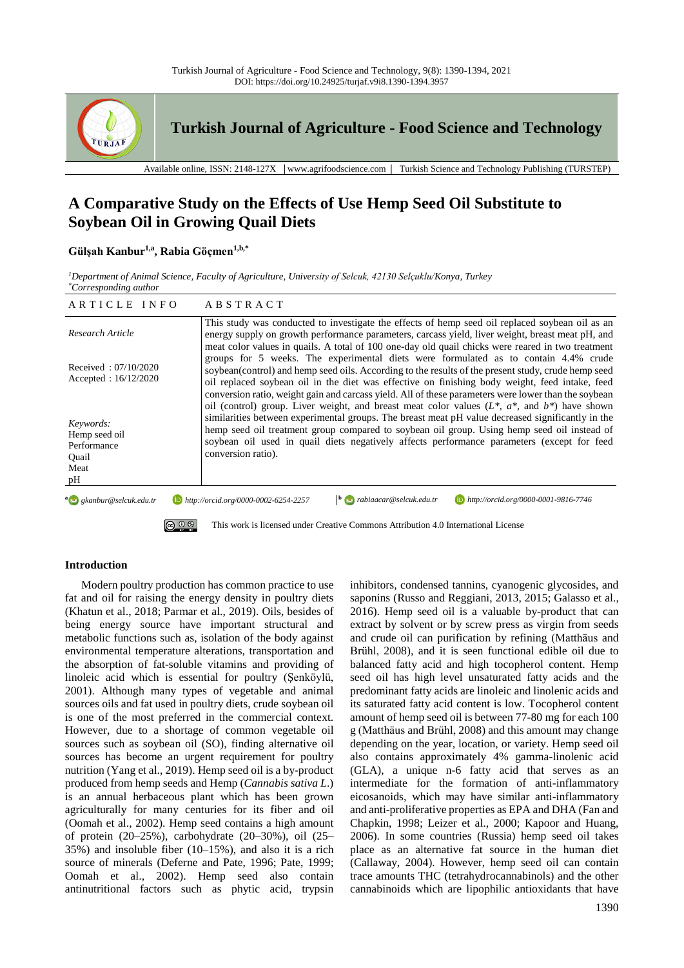

**Turkish Journal of Agriculture - Food Science and Technology**

Available online, ISSN: 2148-127X │www.agrifoodscience.com │ Turkish Science and Technology Publishing (TURSTEP)

# **A Comparative Study on the Effects of Use Hemp Seed Oil Substitute to Soybean Oil in Growing Quail Diets**

### **Gülşah Kanbur1,a , Rabia Göçmen1,b,\***

*<sup>1</sup>Department of Animal Science, Faculty of Agriculture, University of Selcuk, 42130 Selçuklu/Konya, Turkey \*Corresponding author*

| ARTICLE INFO                                                     | ABSTRACT                                                                                                                                                                                                                                                                                                                                                                                                                   |
|------------------------------------------------------------------|----------------------------------------------------------------------------------------------------------------------------------------------------------------------------------------------------------------------------------------------------------------------------------------------------------------------------------------------------------------------------------------------------------------------------|
| Research Article                                                 | This study was conducted to investigate the effects of hemp seed oil replaced soybean oil as an<br>energy supply on growth performance parameters, carcass yield, liver weight, breast meat pH, and<br>meat color values in quails. A total of 100 one-day old quail chicks were reared in two treatment                                                                                                                   |
| Received: $07/10/2020$<br>Accepted : $16/12/2020$                | groups for 5 weeks. The experimental diets were formulated as to contain 4.4% crude<br>soybean(control) and hemp seed oils. According to the results of the present study, crude hemp seed<br>oil replaced soybean oil in the diet was effective on finishing body weight, feed intake, feed<br>conversion ratio, weight gain and carcass yield. All of these parameters were lower than the soybean                       |
| Keywords:<br>Hemp seed oil<br>Performance<br>Ouail<br>Meat<br>pН | oil (control) group. Liver weight, and breast meat color values $(L^*, a^*,$ and $b^*)$ have shown<br>similarities between experimental groups. The breast meat pH value decreased significantly in the<br>hemp seed oil treatment group compared to soybean oil group. Using hemp seed oil instead of<br>soybean oil used in quail diets negatively affects performance parameters (except for feed<br>conversion ratio). |
| a Research Research Redu.tr                                      | $\mathbf{b}$ abiaacar@selcuk.edu.tr<br>http://orcid.org/0000-0001-9816-7746<br>$\Box$ http://orcid.org/0000-0002-6254-2257                                                                                                                                                                                                                                                                                                 |
| $\circledcirc$                                                   | This work is licensed under Creative Commons Attribution 4.0 International License                                                                                                                                                                                                                                                                                                                                         |

## **Introduction**

Modern poultry production has common practice to use fat and oil for raising the energy density in poultry diets (Khatun et al., 2018; Parmar et al., 2019). Oils, besides of being energy source have important structural and metabolic functions such as, isolation of the body against environmental temperature alterations, transportation and the absorption of fat-soluble vitamins and providing of linoleic acid which is essential for poultry (Şenköylü, 2001). Although many types of vegetable and animal sources oils and fat used in poultry diets, crude soybean oil is one of the most preferred in the commercial context. However, due to a shortage of common vegetable oil sources such as soybean oil (SO), finding alternative oil sources has become an urgent requirement for poultry nutrition (Yang et al., 2019). Hemp seed oil is a by-product produced from hemp seeds and Hemp (*Cannabis sativa L*.) is an annual herbaceous plant which has been grown agriculturally for many centuries for its fiber and oil (Oomah et al., 2002). Hemp seed contains a high amount of protein (20–25%), carbohydrate (20–30%), oil (25– 35%) and insoluble fiber (10–15%), and also it is a rich source of minerals (Deferne and Pate, 1996; Pate, 1999; Oomah et al., 2002). Hemp seed also contain antinutritional factors such as phytic acid, trypsin inhibitors, condensed tannins, cyanogenic glycosides, and saponins (Russo and Reggiani, 2013, 2015; Galasso et al., 2016). Hemp seed oil is a valuable by-product that can extract by solvent or by screw press as virgin from seeds and crude oil can purification by refining (Matthäus and Brühl, 2008), and it is seen functional edible oil due to balanced fatty acid and high tocopherol content. Hemp seed oil has high level unsaturated fatty acids and the predominant fatty acids are linoleic and linolenic acids and its saturated fatty acid content is low. Tocopherol content amount of hemp seed oil is between 77-80 mg for each 100 g (Matthäus and Brühl, 2008) and this amount may change depending on the year, location, or variety. Hemp seed oil also contains approximately 4% gamma-linolenic acid (GLA), a unique n-6 fatty acid that serves as an intermediate for the formation of anti-inflammatory eicosanoids, which may have similar anti-inflammatory and anti-proliferative properties as EPA and DHA (Fan and Chapkin, 1998; Leizer et al., 2000; Kapoor and Huang, 2006). In some countries (Russia) hemp seed oil takes place as an alternative fat source in the human diet (Callaway, 2004). However, hemp seed oil can contain trace amounts THC (tetrahydrocannabinols) and the other cannabinoids which are lipophilic antioxidants that have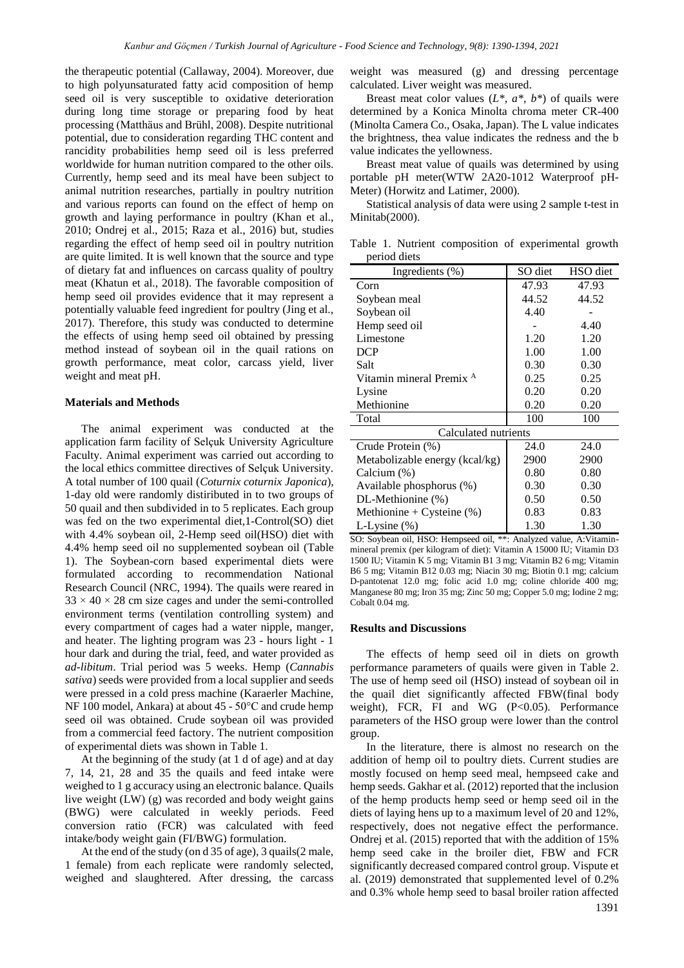the therapeutic potential (Callaway, 2004). Moreover, due to high polyunsaturated fatty acid composition of hemp seed oil is very susceptible to oxidative deterioration during long time storage or preparing food by heat processing (Matthäus and Brühl, 2008). Despite nutritional potential, due to consideration regarding THC content and rancidity probabilities hemp seed oil is less preferred worldwide for human nutrition compared to the other oils. Currently, hemp seed and its meal have been subject to animal nutrition researches, partially in poultry nutrition and various reports can found on the effect of hemp on growth and laying performance in poultry (Khan et al., 2010; Ondrej et al., 2015; Raza et al., 2016) but, studies regarding the effect of hemp seed oil in poultry nutrition are quite limited. It is well known that the source and type of dietary fat and influences on carcass quality of poultry meat (Khatun et al., 2018). The favorable composition of hemp seed oil provides evidence that it may represent a potentially valuable feed ingredient for poultry (Jing et al., 2017). Therefore, this study was conducted to determine the effects of using hemp seed oil obtained by pressing method instead of soybean oil in the quail rations on growth performance, meat color, carcass yield, liver weight and meat pH.

### **Materials and Methods**

The animal experiment was conducted at the application farm facility of Selçuk University Agriculture Faculty. Animal experiment was carried out according to the local ethics committee directives of Selçuk University. A total number of 100 quail (*Coturnix coturnix Japonica*), 1-day old were randomly distiributed in to two groups of 50 quail and then subdivided in to 5 replicates. Each group was fed on the two experimental diet,1-Control(SO) diet with 4.4% soybean oil, 2-Hemp seed oil(HSO) diet with 4.4% hemp seed oil no supplemented soybean oil (Table 1). The Soybean-corn based experimental diets were formulated according to recommendation National Research Council (NRC, 1994). The quails were reared in  $33 \times 40 \times 28$  cm size cages and under the semi-controlled environment terms (ventilation controlling system) and every compartment of cages had a water nipple, manger, and heater. The lighting program was 23 - hours light - 1 hour dark and during the trial, feed, and water provided as *ad-libitum*. Trial period was 5 weeks. Hemp (*Cannabis sativa*) seeds were provided from a local supplier and seeds were pressed in a cold press machine (Karaerler Machine, NF 100 model, Ankara) at about 45 - 50°C and crude hemp seed oil was obtained. Crude soybean oil was provided from a commercial feed factory. The nutrient composition of experimental diets was shown in Table 1.

At the beginning of the study (at 1 d of age) and at day 7, 14, 21, 28 and 35 the quails and feed intake were weighed to 1 g accuracy using an electronic balance. Quails live weight (LW) (g) was recorded and body weight gains (BWG) were calculated in weekly periods. Feed conversion ratio (FCR) was calculated with feed intake/body weight gain (FI/BWG) formulation.

At the end of the study (on d 35 of age), 3 quails(2 male, 1 female) from each replicate were randomly selected, weighed and slaughtered. After dressing, the carcass

weight was measured (g) and dressing percentage calculated. Liver weight was measured.

Breast meat color values  $(L^*, a^*, b^*)$  of quails were determined by a Konica Minolta chroma meter CR‐400 (Minolta Camera Co., Osaka, Japan). The L value indicates the brightness, thea value indicates the redness and the b value indicates the yellowness.

Breast meat value of quails was determined by using portable pH meter(WTW 2A20-1012 Waterproof pH-Meter) (Horwitz and Latimer, 2000).

Statistical analysis of data were using 2 sample t-test in Minitab(2000).

Table 1. Nutrient composition of experimental growth period diets

| Ingredients $(\%)$                  | SO diet | HSO diet |
|-------------------------------------|---------|----------|
| Corn                                | 47.93   | 47.93    |
| Soybean meal                        | 44.52   | 44.52    |
| Soybean oil                         | 4.40    |          |
| Hemp seed oil                       |         | 4.40     |
| Limestone                           | 1.20    | 1.20     |
| <b>DCP</b>                          | 1.00    | 1.00     |
| Salt                                | 0.30    | 0.30     |
| Vitamin mineral Premix <sup>A</sup> | 0.25    | 0.25     |
| Lysine                              | 0.20    | 0.20     |
| Methionine                          | 0.20    | 0.20     |
| Total                               | 100     | 100      |
| Calculated nutrients                |         |          |
| Crude Protein (%)                   | 24.0    | 24.0     |
| Metabolizable energy (kcal/kg)      | 2900    | 2900     |
| Calcium (%)                         | 0.80    | 0.80     |
| Available phosphorus (%)            | 0.30    | 0.30     |
| DL-Methionine (%)                   | 0.50    | 0.50     |
| Methionine + Cysteine $(\%)$        | 0.83    | 0.83     |
| L-Lysine $(\%)$                     | 1.30    | 1.30     |

SO: Soybean oil, HSO: Hempseed oil, \*\*: Analyzed value, A:Vitaminmineral premix (per kilogram of diet): Vitamin A 15000 IU; Vitamin D3 1500 IU; Vitamin K 5 mg; Vitamin B1 3 mg; Vitamin B2 6 mg; Vitamin B6 5 mg; Vitamin B12 0.03 mg; Niacin 30 mg; Biotin 0.1 mg; calcium D-pantotenat 12.0 mg; folic acid 1.0 mg; coline chloride 400 mg; Manganese 80 mg; Iron 35 mg; Zinc 50 mg; Copper 5.0 mg; Iodine 2 mg; Cobalt 0.04 mg.

#### **Results and Discussions**

The effects of hemp seed oil in diets on growth performance parameters of quails were given in Table 2. The use of hemp seed oil (HSO) instead of soybean oil in the quail diet significantly affected FBW(final body weight), FCR, FI and WG (P<0.05). Performance parameters of the HSO group were lower than the control group.

In the literature, there is almost no research on the addition of hemp oil to poultry diets. Current studies are mostly focused on hemp seed meal, hempseed cake and hemp seeds. Gakhar et al. (2012) reported that the inclusion of the hemp products hemp seed or hemp seed oil in the diets of laying hens up to a maximum level of 20 and 12%, respectively, does not negative effect the performance. Ondrej et al. (2015) reported that with the addition of 15% hemp seed cake in the broiler diet, FBW and FCR significantly decreased compared control group. Vispute et al. (2019) demonstrated that supplemented level of 0.2% and 0.3% whole hemp seed to basal broiler ration affected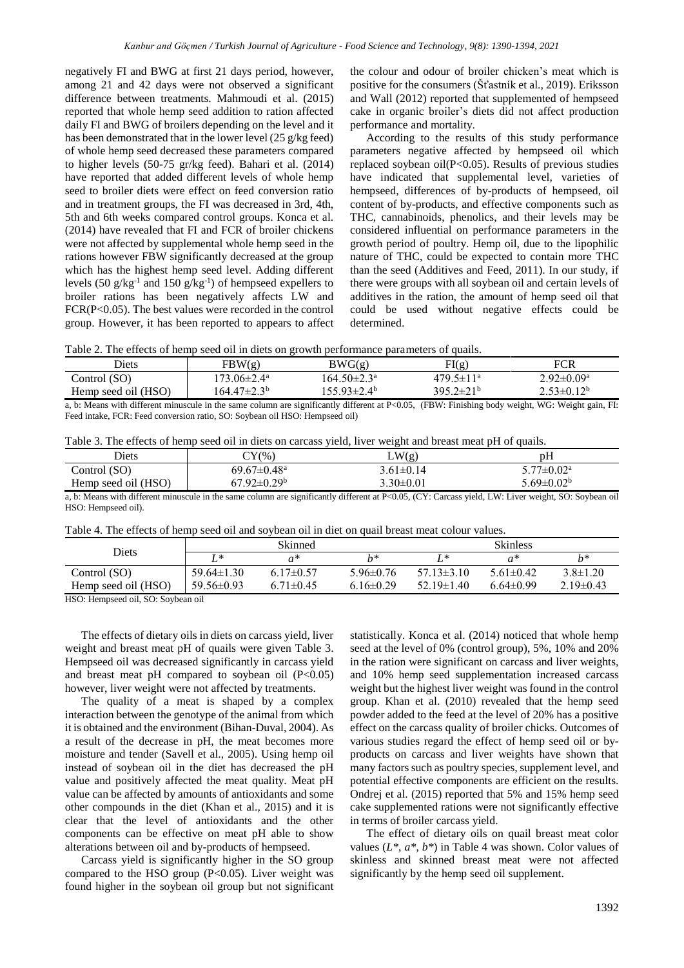negatively FI and BWG at first 21 days period, however, among 21 and 42 days were not observed a significant difference between treatments. Mahmoudi et al. (2015) reported that whole hemp seed addition to ration affected daily FI and BWG of broilers depending on the level and it has been demonstrated that in the lower level (25 g/kg feed) of whole hemp seed decreased these parameters compared to higher levels (50-75 gr/kg feed). Bahari et al. (2014) have reported that added different levels of whole hemp seed to broiler diets were effect on feed conversion ratio and in treatment groups, the FI was decreased in 3rd, 4th, 5th and 6th weeks compared control groups. Konca et al. (2014) have revealed that FI and FCR of broiler chickens were not affected by supplemental whole hemp seed in the rations however FBW significantly decreased at the group which has the highest hemp seed level. Adding different levels (50  $g/kg^{-1}$  and 150  $g/kg^{-1}$ ) of hempseed expellers to broiler rations has been negatively affects LW and FCR(P<0.05). The best values were recorded in the control group. However, it has been reported to appears to affect

the colour and odour of broiler chicken's meat which is positive for the consumers (Šťastník et al., 2019). Eriksson and Wall (2012) reported that supplemented of hempseed cake in organic broiler's diets did not affect production performance and mortality.

According to the results of this study performance parameters negative affected by hempseed oil which replaced soybean oil $(P<0.05)$ . Results of previous studies have indicated that supplemental level, varieties of hempseed, differences of by-products of hempseed, oil content of by-products, and effective components such as THC, cannabinoids, phenolics, and their levels may be considered influential on performance parameters in the growth period of poultry. Hemp oil, due to the lipophilic nature of THC, could be expected to contain more THC than the seed (Additives and Feed, 2011). In our study, if there were groups with all soybean oil and certain levels of additives in the ration, the amount of hemp seed oil that could be used without negative effects could be determined.

Table 2. The effects of hemp seed oil in diets on growth performance parameters of quails.

|                     |                         |                          | ----------             |                         |
|---------------------|-------------------------|--------------------------|------------------------|-------------------------|
| Diets               | FBW(g)                  | BWG(g)                   | FI(g)                  | <b>FCR</b>              |
| Control (SO)        | 173.06±2.4ª             | $164.50 \pm 2.3^{\rm a}$ | $479.5 \pm 11^{\circ}$ | $2.92 \pm 0.09^{\rm a}$ |
| Hemp seed oil (HSO) | 164.47±2.3 <sup>b</sup> | 155.93±2.4 <sup>b</sup>  | $395.2 \pm 21^{b}$     | $2.53 \pm 0.12^b$       |
|                     |                         |                          |                        |                         |

a, b: Means with different minuscule in the same column are significantly different at P<0.05, (FBW: Finishing body weight, WG: Weight gain, FI: Feed intake, FCR: Feed conversion ratio, SO: Soybean oil HSO: Hempseed oil)

|  |  | Table 3. The effects of hemp seed oil in diets on carcass yield, liver weight and breast meat pH of quails. |  |  |
|--|--|-------------------------------------------------------------------------------------------------------------|--|--|
|  |  |                                                                                                             |  |  |

| Diets               | $\gamma$ (%)                  | LW(g)           | pH                         |
|---------------------|-------------------------------|-----------------|----------------------------|
| Control (SO)        | $69.67 \pm 0.48$ <sup>a</sup> | $3.61 \pm 0.14$ | $5.77 \pm 0.02^{\text{a}}$ |
| Hemp seed oil (HSO) | $67.92 \pm 0.29^{\rm b}$      | $3.30 \pm 0.01$ | 5.69±0.02 <sup>b</sup>     |

a, b: Means with different minuscule in the same column are significantly different at P<0.05, (CY: Carcass yield, LW: Liver weight, SO: Soybean oil HSO: Hempseed oil).

| Table 4. The effects of hemp seed oil and sovbean oil in diet on quail breast meat colour values. |  |  |  |  |
|---------------------------------------------------------------------------------------------------|--|--|--|--|
|---------------------------------------------------------------------------------------------------|--|--|--|--|

| Diets                               | Skinned          |                 |                 | <b>Skinless</b>  |                 |                |
|-------------------------------------|------------------|-----------------|-----------------|------------------|-----------------|----------------|
|                                     | T *              |                 | $h*$            |                  | $a^*$           | h*             |
| Control (SO)                        | $59.64 \pm 1.30$ | $6.17\pm0.57$   | $5.96 \pm 0.76$ | $57.13\pm3.10$   | $5.61 \pm 0.42$ | $3.8 \pm 1.20$ |
| Hemp seed oil (HSO)                 | $59.56 \pm 0.93$ | $6.71 \pm 0.45$ | $6.16 \pm 0.29$ | $52.19 \pm 1.40$ | $6.64\pm0.99$   | $2.19\pm0.43$  |
| TTOO IT<br>$1 \cdot 1$ $0 \cap$ $0$ |                  |                 |                 |                  |                 |                |

HSO: Hempseed oil, SO: Soybean oil

The effects of dietary oils in diets on carcass yield, liver weight and breast meat pH of quails were given Table 3. Hempseed oil was decreased significantly in carcass yield and breast meat pH compared to soybean oil  $(P<0.05)$ however, liver weight were not affected by treatments.

The quality of a meat is shaped by a complex interaction between the genotype of the animal from which it is obtained and the environment (Bihan-Duval, 2004). As a result of the decrease in pH, the meat becomes more moisture and tender (Savell et al., 2005). Using hemp oil instead of soybean oil in the diet has decreased the pH value and positively affected the meat quality. Meat pH value can be affected by amounts of antioxidants and some other compounds in the diet (Khan et al., 2015) and it is clear that the level of antioxidants and the other components can be effective on meat pH able to show alterations between oil and by-products of hempseed.

Carcass yield is significantly higher in the SO group compared to the HSO group  $(P<0.05)$ . Liver weight was found higher in the soybean oil group but not significant statistically. Konca et al. (2014) noticed that whole hemp seed at the level of 0% (control group), 5%, 10% and 20% in the ration were significant on carcass and liver weights, and 10% hemp seed supplementation increased carcass weight but the highest liver weight was found in the control group. Khan et al. (2010) revealed that the hemp seed powder added to the feed at the level of 20% has a positive effect on the carcass quality of broiler chicks. Outcomes of various studies regard the effect of hemp seed oil or byproducts on carcass and liver weights have shown that many factors such as poultry species, supplement level, and potential effective components are efficient on the results. Ondrej et al. (2015) reported that 5% and 15% hemp seed cake supplemented rations were not significantly effective in terms of broiler carcass yield.

The effect of dietary oils on quail breast meat color values (*L\**, *a\**, *b\**) in Table 4 was shown. Color values of skinless and skinned breast meat were not affected significantly by the hemp seed oil supplement.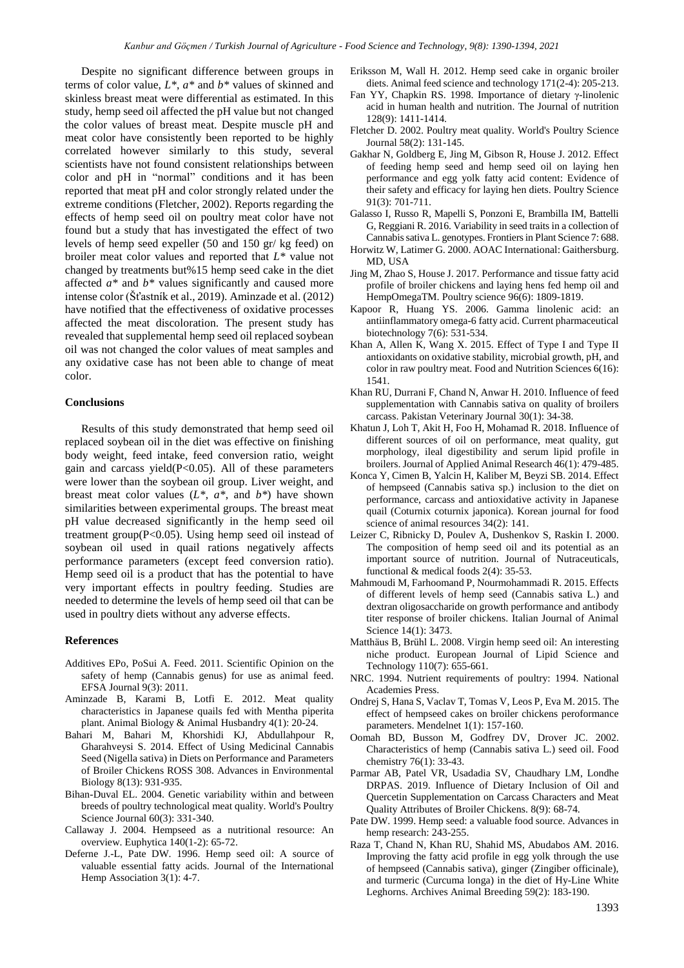Despite no significant difference between groups in terms of color value, *L\**, *a\** and *b\** values of skinned and skinless breast meat were differential as estimated. In this study, hemp seed oil affected the pH value but not changed the color values of breast meat. Despite muscle pH and meat color have consistently been reported to be highly correlated however similarly to this study, several scientists have not found consistent relationships between color and pH in "normal" conditions and it has been reported that meat pH and color strongly related under the extreme conditions (Fletcher, 2002). Reports regarding the effects of hemp seed oil on poultry meat color have not found but a study that has investigated the effect of two levels of hemp seed expeller (50 and 150 gr/ kg feed) on broiler meat color values and reported that *L\** value not changed by treatments but%15 hemp seed cake in the diet affected *a\** and *b\** values significantly and caused more intense color (Šťastník et al., 2019). Aminzade et al. (2012) have notified that the effectiveness of oxidative processes affected the meat discoloration. The present study has revealed that supplemental hemp seed oil replaced soybean oil was not changed the color values of meat samples and any oxidative case has not been able to change of meat color.

#### **Conclusions**

Results of this study demonstrated that hemp seed oil replaced soybean oil in the diet was effective on finishing body weight, feed intake, feed conversion ratio, weight gain and carcass yield $(P<0.05)$ . All of these parameters were lower than the soybean oil group. Liver weight, and breast meat color values  $(L^*, a^*, \text{ and } b^*)$  have shown similarities between experimental groups. The breast meat pH value decreased significantly in the hemp seed oil treatment group(P<0.05). Using hemp seed oil instead of soybean oil used in quail rations negatively affects performance parameters (except feed conversion ratio). Hemp seed oil is a product that has the potential to have very important effects in poultry feeding. Studies are needed to determine the levels of hemp seed oil that can be used in poultry diets without any adverse effects.

#### **References**

- Additives EPo, PoSui A. Feed. 2011. Scientific Opinion on the safety of hemp (Cannabis genus) for use as animal feed. EFSA Journal 9(3): 2011.
- Aminzade B, Karami B, Lotfi E. 2012. Meat quality characteristics in Japanese quails fed with Mentha piperita plant. Animal Biology & Animal Husbandry 4(1): 20-24.
- Bahari M, Bahari M, Khorshidi KJ, Abdullahpour R, Gharahveysi S. 2014. Effect of Using Medicinal Cannabis Seed (Nigella sativa) in Diets on Performance and Parameters of Broiler Chickens ROSS 308. Advances in Environmental Biology 8(13): 931-935.
- Bihan-Duval EL. 2004. Genetic variability within and between breeds of poultry technological meat quality. World's Poultry Science Journal 60(3): 331-340.
- Callaway J. 2004. Hempseed as a nutritional resource: An overview. Euphytica 140(1-2): 65-72.
- Deferne J.-L, Pate DW. 1996. Hemp seed oil: A source of valuable essential fatty acids. Journal of the International Hemp Association 3(1): 4-7.
- Eriksson M, Wall H. 2012. Hemp seed cake in organic broiler diets. Animal feed science and technology 171(2-4): 205-213.
- Fan YY, Chapkin RS. 1998. Importance of dietary γ-linolenic acid in human health and nutrition. The Journal of nutrition 128(9): 1411-1414.
- Fletcher D. 2002. Poultry meat quality. World's Poultry Science Journal 58(2): 131-145.
- Gakhar N, Goldberg E, Jing M, Gibson R, House J. 2012. Effect of feeding hemp seed and hemp seed oil on laying hen performance and egg yolk fatty acid content: Evidence of their safety and efficacy for laying hen diets. Poultry Science 91(3): 701-711.
- Galasso I, Russo R, Mapelli S, Ponzoni E, Brambilla IM, Battelli G, Reggiani R. 2016. Variability in seed traits in a collection of Cannabis sativa L. genotypes. Frontiers in Plant Science 7: 688.
- Horwitz W, Latimer G. 2000. AOAC International: Gaithersburg. MD, USA
- Jing M, Zhao S, House J. 2017. Performance and tissue fatty acid profile of broiler chickens and laying hens fed hemp oil and HempOmegaTM. Poultry science 96(6): 1809-1819.
- Kapoor R, Huang YS. 2006. Gamma linolenic acid: an antiinflammatory omega-6 fatty acid. Current pharmaceutical biotechnology 7(6): 531-534.
- Khan A, Allen K, Wang X. 2015. Effect of Type I and Type II antioxidants on oxidative stability, microbial growth, pH, and color in raw poultry meat. Food and Nutrition Sciences 6(16): 1541.
- Khan RU, Durrani F, Chand N, Anwar H. 2010. Influence of feed supplementation with Cannabis sativa on quality of broilers carcass. Pakistan Veterinary Journal 30(1): 34-38.
- Khatun J, Loh T, Akit H, Foo H, Mohamad R. 2018. Influence of different sources of oil on performance, meat quality, gut morphology, ileal digestibility and serum lipid profile in broilers. Journal of Applied Animal Research 46(1): 479-485.
- Konca Y, Cimen B, Yalcin H, Kaliber M, Beyzi SB. 2014. Effect of hempseed (Cannabis sativa sp.) inclusion to the diet on performance, carcass and antioxidative activity in Japanese quail (Coturnix coturnix japonica). Korean journal for food science of animal resources 34(2): 141.
- Leizer C, Ribnicky D, Poulev A, Dushenkov S, Raskin I. 2000. The composition of hemp seed oil and its potential as an important source of nutrition. Journal of Nutraceuticals, functional & medical foods 2(4): 35-53.
- Mahmoudi M, Farhoomand P, Nourmohammadi R. 2015. Effects of different levels of hemp seed (Cannabis sativa L.) and dextran oligosaccharide on growth performance and antibody titer response of broiler chickens. Italian Journal of Animal Science 14(1): 3473.
- Matthäus B, Brühl L. 2008. Virgin hemp seed oil: An interesting niche product. European Journal of Lipid Science and Technology 110(7): 655-661.
- NRC. 1994. Nutrient requirements of poultry: 1994. National Academies Press.
- Ondrej S, Hana S, Vaclav T, Tomas V, Leos P, Eva M. 2015. The effect of hempseed cakes on broiler chickens peroformance parameters. Mendelnet 1(1): 157-160.
- Oomah BD, Busson M, Godfrey DV, Drover JC. 2002. Characteristics of hemp (Cannabis sativa L.) seed oil. Food chemistry 76(1): 33-43.
- Parmar AB, Patel VR, Usadadia SV, Chaudhary LM, Londhe DRPAS. 2019. Influence of Dietary Inclusion of Oil and Quercetin Supplementation on Carcass Characters and Meat Quality Attributes of Broiler Chickens. 8(9): 68-74.
- Pate DW. 1999. Hemp seed: a valuable food source. Advances in hemp research: 243-255.
- Raza T, Chand N, Khan RU, Shahid MS, Abudabos AM. 2016. Improving the fatty acid profile in egg yolk through the use of hempseed (Cannabis sativa), ginger (Zingiber officinale), and turmeric (Curcuma longa) in the diet of Hy-Line White Leghorns. Archives Animal Breeding 59(2): 183-190.